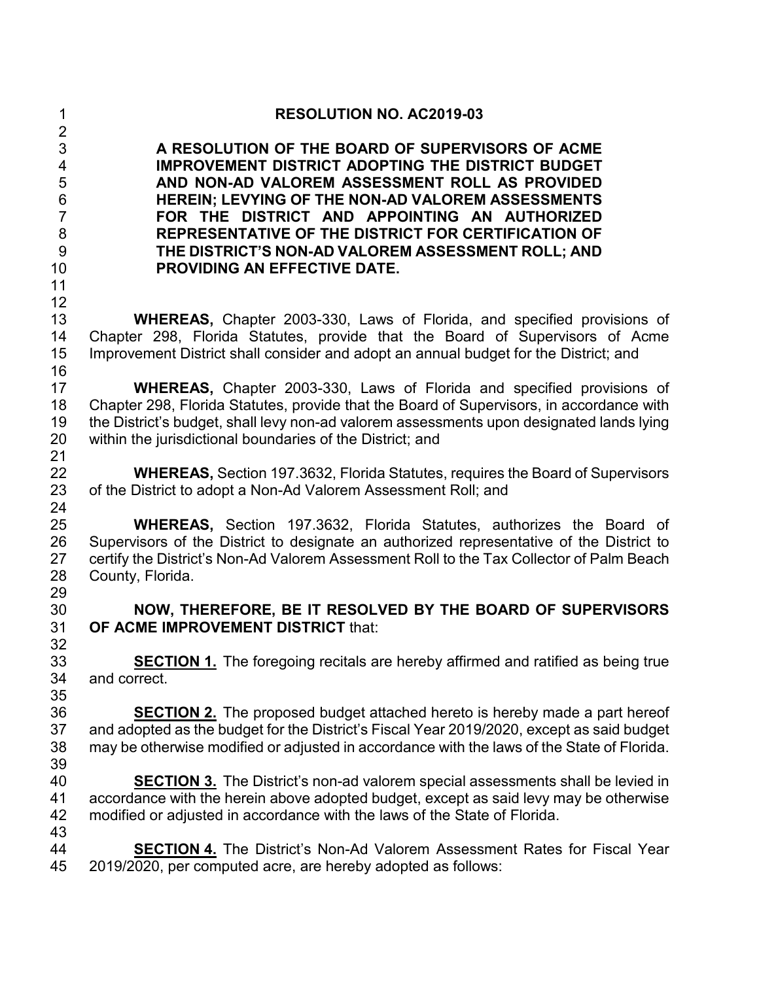| 1                                                                          | <b>RESOLUTION NO. AC2019-03</b>                                                                                                                                                                                                                                                                                                                                                                                   |
|----------------------------------------------------------------------------|-------------------------------------------------------------------------------------------------------------------------------------------------------------------------------------------------------------------------------------------------------------------------------------------------------------------------------------------------------------------------------------------------------------------|
| $\overline{2}$<br>3<br>4<br>5<br>6<br>$\overline{7}$<br>8<br>9<br>10<br>11 | A RESOLUTION OF THE BOARD OF SUPERVISORS OF ACME<br><b>IMPROVEMENT DISTRICT ADOPTING THE DISTRICT BUDGET</b><br>AND NON-AD VALOREM ASSESSMENT ROLL AS PROVIDED<br>HEREIN; LEVYING OF THE NON-AD VALOREM ASSESSMENTS<br>FOR THE DISTRICT AND APPOINTING AN AUTHORIZED<br>REPRESENTATIVE OF THE DISTRICT FOR CERTIFICATION OF<br>THE DISTRICT'S NON-AD VALOREM ASSESSMENT ROLL; AND<br>PROVIDING AN EFFECTIVE DATE. |
| 12<br>13<br>14<br>15                                                       | <b>WHEREAS, Chapter 2003-330, Laws of Florida, and specified provisions of</b><br>Chapter 298, Florida Statutes, provide that the Board of Supervisors of Acme<br>Improvement District shall consider and adopt an annual budget for the District; and                                                                                                                                                            |
| 16<br>17<br>18<br>19<br>20                                                 | <b>WHEREAS, Chapter 2003-330, Laws of Florida and specified provisions of</b><br>Chapter 298, Florida Statutes, provide that the Board of Supervisors, in accordance with<br>the District's budget, shall levy non-ad valorem assessments upon designated lands lying<br>within the jurisdictional boundaries of the District; and                                                                                |
| 21<br>22<br>23<br>24                                                       | <b>WHEREAS, Section 197.3632, Florida Statutes, requires the Board of Supervisors</b><br>of the District to adopt a Non-Ad Valorem Assessment Roll; and                                                                                                                                                                                                                                                           |
| 25<br>26<br>27<br>28                                                       | <b>WHEREAS,</b> Section 197.3632, Florida Statutes, authorizes the Board of<br>Supervisors of the District to designate an authorized representative of the District to<br>certify the District's Non-Ad Valorem Assessment Roll to the Tax Collector of Palm Beach<br>County, Florida.                                                                                                                           |
| 29<br>30<br>31                                                             | NOW, THEREFORE, BE IT RESOLVED BY THE BOARD OF SUPERVISORS<br>OF ACME IMPROVEMENT DISTRICT that:                                                                                                                                                                                                                                                                                                                  |
| 32<br>33<br>34<br>35                                                       | <b>SECTION 1.</b> The foregoing recitals are hereby affirmed and ratified as being true<br>and correct.                                                                                                                                                                                                                                                                                                           |
| 36<br>37<br>38<br>39                                                       | <b>SECTION 2.</b> The proposed budget attached hereto is hereby made a part hereof<br>and adopted as the budget for the District's Fiscal Year 2019/2020, except as said budget<br>may be otherwise modified or adjusted in accordance with the laws of the State of Florida.                                                                                                                                     |
| 40<br>41<br>42<br>43                                                       | <b>SECTION 3.</b> The District's non-ad valorem special assessments shall be levied in<br>accordance with the herein above adopted budget, except as said levy may be otherwise<br>modified or adjusted in accordance with the laws of the State of Florida.                                                                                                                                                      |
| 44<br>45                                                                   | <b>SECTION 4.</b> The District's Non-Ad Valorem Assessment Rates for Fiscal Year<br>2019/2020, per computed acre, are hereby adopted as follows:                                                                                                                                                                                                                                                                  |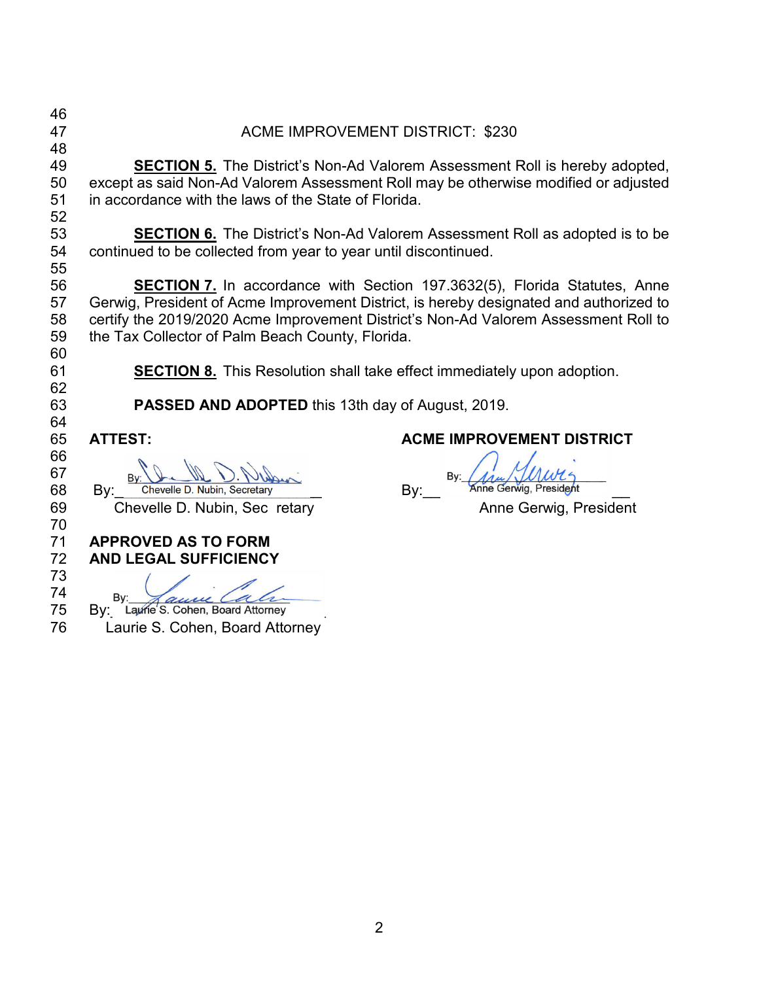| 46                   |                                                                                                                                                                            |                                                                                                                                                                           |  |  |  |
|----------------------|----------------------------------------------------------------------------------------------------------------------------------------------------------------------------|---------------------------------------------------------------------------------------------------------------------------------------------------------------------------|--|--|--|
| 47<br>48             | <b>ACME IMPROVEMENT DISTRICT: \$230</b>                                                                                                                                    |                                                                                                                                                                           |  |  |  |
| 49<br>50<br>51<br>52 | in accordance with the laws of the State of Florida.                                                                                                                       | <b>SECTION 5.</b> The District's Non-Ad Valorem Assessment Roll is hereby adopted,<br>except as said Non-Ad Valorem Assessment Roll may be otherwise modified or adjusted |  |  |  |
| 53<br>54<br>55       | <b>SECTION 6.</b> The District's Non-Ad Valorem Assessment Roll as adopted is to be<br>continued to be collected from year to year until discontinued.                     |                                                                                                                                                                           |  |  |  |
| 56<br>57             | <b>SECTION 7.</b> In accordance with Section 197.3632(5), Florida Statutes, Anne<br>Gerwig, President of Acme Improvement District, is hereby designated and authorized to |                                                                                                                                                                           |  |  |  |
| 58<br>59<br>60       | certify the 2019/2020 Acme Improvement District's Non-Ad Valorem Assessment Roll to<br>the Tax Collector of Palm Beach County, Florida.                                    |                                                                                                                                                                           |  |  |  |
| 61<br>62             | <b>SECTION 8.</b> This Resolution shall take effect immediately upon adoption.                                                                                             |                                                                                                                                                                           |  |  |  |
| 63<br>64             | <b>PASSED AND ADOPTED</b> this 13th day of August, 2019.                                                                                                                   |                                                                                                                                                                           |  |  |  |
| 65                   | <b>ATTEST:</b>                                                                                                                                                             | <b>ACME IMPROVEMENT DISTRICT</b>                                                                                                                                          |  |  |  |
| 66<br>67<br>68       | Chevelle D. Nubin, Secretary<br>By:                                                                                                                                        | Anne Gerwig, President<br>By:                                                                                                                                             |  |  |  |
| 69<br>70             | Chevelle D. Nubin, Sec retary                                                                                                                                              | Anne Gerwig, President                                                                                                                                                    |  |  |  |
| 71<br>72             | <b>APPROVED AS TO FORM</b><br><b>AND LEGAL SUFFICIENCY</b>                                                                                                                 |                                                                                                                                                                           |  |  |  |
| 73<br>74<br>75       | Bv:<br>By: Laurie'S. Cohen, Board Attorney                                                                                                                                 |                                                                                                                                                                           |  |  |  |
| 76                   | Laurie S. Cohen, Board Attorney                                                                                                                                            |                                                                                                                                                                           |  |  |  |